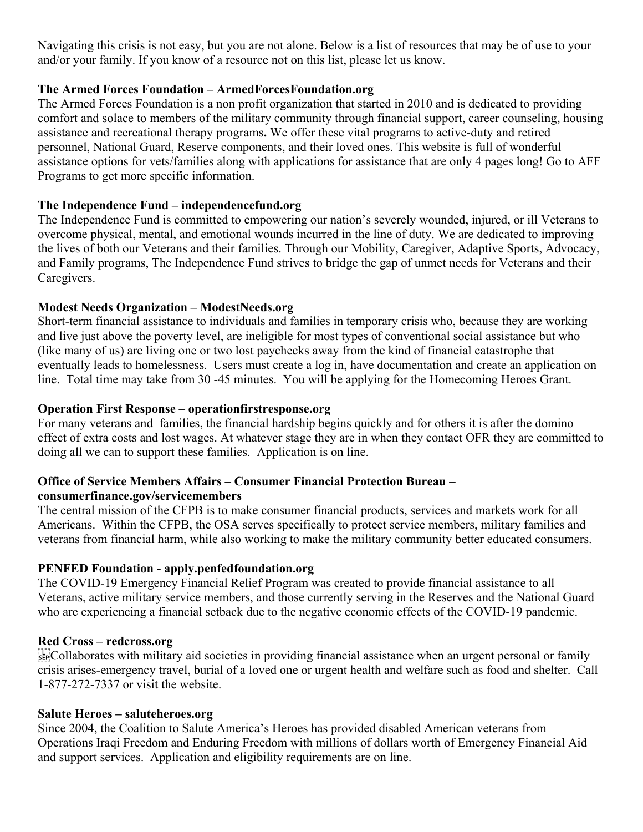Navigating this crisis is not easy, but you are not alone. Below is a list of resources that may be of use to your and/or your family. If you know of a resource not on this list, please let us know.

## **The Armed Forces Foundation – ArmedForcesFoundation.org**

The Armed Forces Foundation is a non profit organization that started in 2010 and is dedicated to providing comfort and solace to members of the military community through financial support, career counseling, housing assistance and recreational therapy programs**.** We offer these vital programs to active-duty and retired personnel, National Guard, Reserve components, and their loved ones. This website is full of wonderful assistance options for vets/families along with applications for assistance that are only 4 pages long! Go to AFF Programs to get more specific information.

# **The Independence Fund – independencefund.org**

The Independence Fund is committed to empowering our nation's severely wounded, injured, or ill Veterans to overcome physical, mental, and emotional wounds incurred in the line of duty. We are dedicated to improving the lives of both our Veterans and their families. Through our Mobility, Caregiver, Adaptive Sports, Advocacy, and Family programs, The Independence Fund strives to bridge the gap of unmet needs for Veterans and their Caregivers.

# **Modest Needs Organization – ModestNeeds.org**

Short-term financial assistance to individuals and families in temporary crisis who, because they are working and live just above the poverty level, are ineligible for most types of conventional social assistance but who (like many of us) are living one or two lost paychecks away from the kind of financial catastrophe that eventually leads to homelessness. Users must create a log in, have documentation and create an application on line. Total time may take from 30 -45 minutes. You will be applying for the Homecoming Heroes Grant.

## **Operation First Response – operationfirstresponse.org**

For many veterans and families, the financial hardship begins quickly and for others it is after the domino effect of extra costs and lost wages. At whatever stage they are in when they contact OFR they are committed to doing all we can to support these families. Application is on line.

#### **Office of Service Members Affairs – Consumer Financial Protection Bureau – consumerfinance.gov/servicemembers**

The central mission of the CFPB is to make consumer financial products, services and markets work for all Americans. Within the CFPB, the OSA serves specifically to protect service members, military families and veterans from financial harm, while also working to make the military community better educated consumers.

### **PENFED Foundation - apply.penfedfoundation.org**

The COVID-19 Emergency Financial Relief Program was created to provide financial assistance to all Veterans, active military service members, and those currently serving in the Reserves and the National Guard who are experiencing a financial setback due to the negative economic effects of the COVID-19 pandemic.

### **Red Cross – redcross.org**

 $\sum_{s \in \mathbb{R}}$ Collaborates with military aid societies in providing financial assistance when an urgent personal or family crisis arises-emergency travel, burial of a loved one or urgent health and welfare such as food and shelter. Call 1-877-272-7337 or visit the website.

### **Salute Heroes – saluteheroes.org**

Since 2004, the Coalition to Salute America's Heroes has provided disabled American veterans from Operations Iraqi Freedom and Enduring Freedom with millions of dollars worth of Emergency Financial Aid and support services. Application and eligibility requirements are on line.